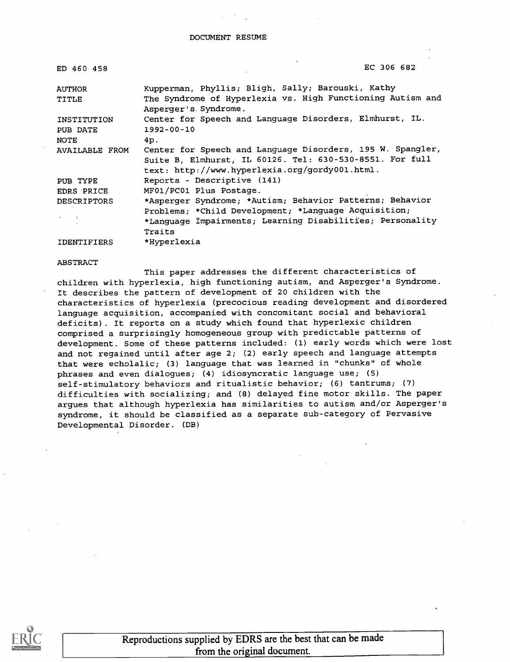| ED 460 458         | EC 306 682                                                                                                                                                               |
|--------------------|--------------------------------------------------------------------------------------------------------------------------------------------------------------------------|
| <b>AUTHOR</b>      | Kupperman, Phyllis; Bligh, Sally; Barouski, Kathy                                                                                                                        |
| <b>TITLE</b>       | The Syndrome of Hyperlexia vs. High Functioning Autism and<br>Asperger's Syndrome.                                                                                       |
| INSTITUTION        | Center for Speech and Language Disorders, Elmhurst, IL.                                                                                                                  |
| PUB DATE           | $1992 - 00 - 10$                                                                                                                                                         |
| NOTE               | 4p.                                                                                                                                                                      |
| AVAILABLE FROM     | Center for Speech and Language Disorders, 195 W. Spangler,<br>Suite B, Elmhurst, IL 60126. Tel: 630-530-8551. For full<br>text: http://www.hyperlexia.org/gordy001.html. |
| PUB TYPE           | Reports - Descriptive (141)                                                                                                                                              |
| EDRS PRICE         | MF01/PC01 Plus Postage.                                                                                                                                                  |
| <b>DESCRIPTORS</b> | *Asperger Syndrome; *Autism; Behavior Patterns; Behavior                                                                                                                 |
|                    | Problems; *Child Development; *Language Acquisition;                                                                                                                     |
|                    | *Language Impairments; Learning Disabilities; Personality                                                                                                                |
|                    | Traits                                                                                                                                                                   |
| <b>IDENTIFIERS</b> | *Hyperlexia                                                                                                                                                              |

#### ABSTRACT

This paper addresses the different characteristics of children with hyperlexia, high functioning autism, and Asperger's Syndrome. It describes the pattern of development of 20 children with the characteristics of hyperlexia (precocious reading development and disordered language acquisition, accompanied with concomitant social and behavioral deficits). It reports on a study which found that hyperlexic children comprised a surprisingly homogeneous group with predictable patterns of development. Some of these patterns included: (1) early words which were lost and not regained until after age 2; (2) early speech and language attempts that were echolalic; (3) language that was learned in "chunks" of whole phrases and even dialogues; (4) idiosyncratic language use; (5) self-stimulatory behaviors and ritualistic behavior; (6) tantrums; (7) difficulties with socializing; and (8) delayed fine motor skills. The paper argues that although hyperlexia has similarities to autism and/or Asperger's syndrome, it should be classified as a separate sub-category of Pervasive Developmental Disorder. (DB)

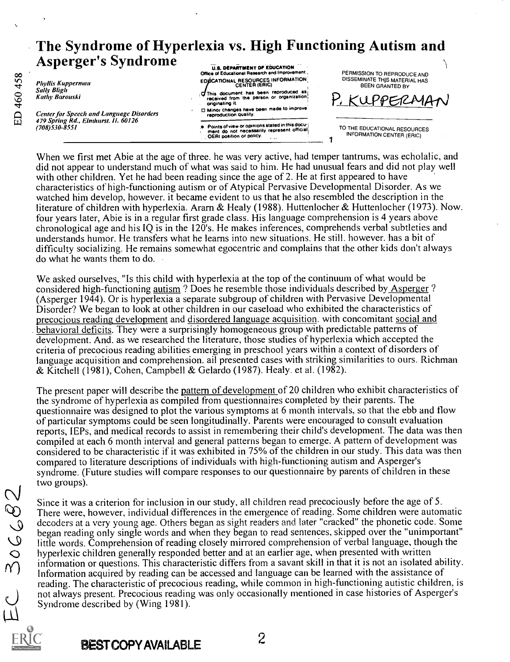# The Syndrome of Hyperlexia vs. High Functioning Autism and Asperger's Syndrome

ED 460 458

Phyllis Kuppernum Sally Bligh **Kathy Barouski** 

Center for Speech and Language Disorders 479 Spring Rd., Elmhurst. II. 60126 (708) 530-8551

U.S. DEPARTMENT DF EDUCATION<br>Office of Educational Research and Improver EDUCATIONAL RESOURCES INFORMATION

This document has been reproduced as;<br>received from the person or organization; originating it

0 Minor changes have been made to improve reproduction Quality.

,e Points of view Of opinions stated in this docu-1 : ment do not necessarily represent officiali TO THE EDUCATIONAL RESOURCES ment do not hecessarily represent to the state of the INFORMATION CENTER (ERIC)

PERMISSION TO REPRODUCE AND DISSEMINATE THIS MATERIAL HAS BEEN GRANTED BY

 $KUPPERM$ 

1

When we first met Abie at the age of three. he was very active, had temper tantrums, was echolalic, and did not appear to understand much of what was said to him. He had unusual fears and did not play well with other children. Yet he had been reading since the age of 2. He at first appeared to have characteristics of high-functioning autism or of Atypical Pervasive Developmental Disorder. As we watched him develop, however, it became evident to us that he also resembled the description in the literature of children with hyperlexia. Ararn & Healy (1988). Huttenlocher & Huttenlocher (1973). Now. four years later, Abie is in a regular first grade class. His language comprehension is 4 years above chronological age and his IQ is in the 120's. He makes inferences, comprehends verbal subtleties and understands humor. He transfers what he learns into new situations. He still. however, has a bit of difficulty socializing. He remains somewhat egocentric and complains that the other kids don't always do what he wants them to do.

We asked ourselves, "Is this child with hyperlexia at the top of the continuum of what would be considered high-functioning autism ? Does he resemble those individuals described by Asperger ? (Asperger 1944). Or is hyperlexia a separate subgroup of children with Pervasive Developmental Disorder? We began to look at other children in our caseload who exhibited the characteristics of precocious reading development and disordered language acquisition. with concomitant social and behavioral deficits. They were a surprisingly homogeneous group with predictable patterns of development. And. as we researched the literature, those studies of hyperlexia which accepted the criteria of precocious reading abilities emerging in preschool years within a context of disorders of language acquisition and comprehension. ail presented cases with striking similarities to ours. Richman  $&$  Kitchell (1981), Cohen, Campbell  $&$  Gelardo (1987). Healy. et al. (1982).

The present paper will describe the pattern of development of 20 children who exhibit characteristics of the syndrome of hyperlexia as compiled from questionnaires completed by their parents. The questionnaire was designed to plot the various symptoms at 6 month intervals, so that the ebb and flow of particular symptoms could be seen longitudinally. Parents were encouraged to consult evaluation reports, IEPs, and medical records to assist in remembering their child's development. The data was then compiled at each 6 month interval and general patterns began to emerge. A pattern of development was considered to be characteristic if it was exhibited in 75% of the children in our study. This data was then compared to literature descriptions of individuals with high-functioning autism and Asperger's syndrome. (Future studies will compare responses to our questionnaire by parents of children in these

two groups). 306682 Since it was a criterion for inclusion in our study, all children read precociously before the age of 5. There were, however, individual differences in the emergence of reading. Some children were automatic decoders at a very young age. Others began as sight readers and later "cracked" the phonetic code. Some began reading only single words and when they began to read sentences, skipped over the "unimportant" little words. Comprehension of reading closely mirrored comprehension of verbal language, though the hyperlexic children generally responded better and at an earlier age, when presented with written information or questions. This characteristic differs from a savant skill in that it is not an isolated ability. Information acquired by reading can be accessed and language can be learned with the assistance of reading. The characteristic of precocious reading, while common in high-functioning autistic children, is not always present. Precocious reading was only occasionally mentioned in case histories of Asperger's Syndrome described by (Wing 1981).

BEST COPY AVAILABLE 2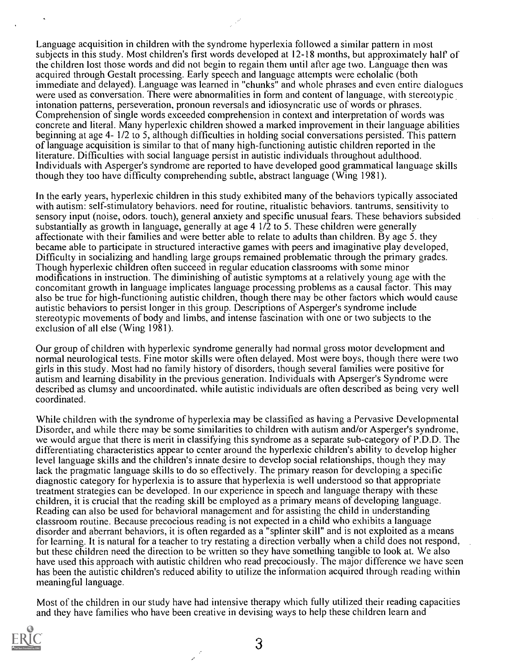Language acquisition in children with the syndrome hyperlexia followed a similar pattern in most subjects in this study. Most children's first words developed at  $12-18$  months, but approximately half of the children lost those words and did not begin to regain them until after age two. Language then was acquired through Gestalt processing. Early speech and language attempts were echolalic (both immediate and delayed). Language was learned in "chunks" and whole phrases and even entire dialogues were used as conversation. There were abnormalities in form and content of language, with stereotypic intonation patterns, perseveration, pronoun reversals and idiosyncratic use of words or phrases. Comprehension of single words exceeded comprehension in context and interpretation of words was concrete and literal. Many hyperlexic children showed a marked improvement in their language abilities beginning at age 4- 1/2 to 5, although difficulties in holding social conversations persisted. This pattern of language acquisition is similar to that of many high-functioning autistic children reported in the literature. Difficulties with social language persist in autistic individuals throughout adulthood. Individuals with Asperger's syndrome are reported to have developed good grammatical language skills though they too have difficulty comprehending subtle, abstract language (Wing 1981).

In the early years, hyperlexic children in this study exhibited many of the behaviors typically associated with autism: self-stimulatory behaviors, need for routine, ritualistic behaviors, tantrums, sensitivity to sensory input (noise, odors. touch), general anxiety and specific unusual fears. These behaviors subsided substantially as growth in language, generally at age 4 1/2 to 5. These children were generally affectionate with their families and were better able to relate to adults than children. By age 5. they became able to participate in structured interactive games with peers and imaginative play developed, Difficulty in socializing and handling large groups remained problematic through the primary grades. Though hyperlexic children often succeed in regular education classrooms with some minor modifications in instruction. The diminishing of autistic symptoms at a relatively young age with the concomitant growth in language implicates language processing problems as a causal factor. This may also be true for high-functioning autistic children, though there may be other factors which would cause autistic behaviors to persist longer in this group. Descriptions of Asperger's syndrome include stereotypic movements of body and limbs, and intense fascination with one or two subjects to the exclusion of all else (Wing 1981).

Our group of children with hyperlexic syndrome generally had normal gross motor development and normal neurological tests. Fine motor skills were often delayed. Most were boys, though there were two girls in this study. Most had no family history of disorders, though several families were positive for autism and learning disability in the previous generation. Individuals with Apserger's Syndrome were described as clumsy and uncoordinated, while autistic individuals are often described as being very well coordinated.

While children with the syndrome of hyperlexia may be classified as having a Pervasive Developmental Disorder, and while there may be some similarities to children with autism and/or Asperger's syndrome, we would argue that there is merit in classifying this syndrome as a separate sub-category of P.D.D. The differentiating characteristics appear to center around the hyperlexic children's ability to develop higher level language skills and the children's innate desire to develop social relationships, though they may lack the pragmatic language skills to do so effectively. The primary reason for developing a specific diagnostic category for hyperlexia is to assure that hyperlexia is well understood so that appropriate treatment strategies can be developed. In our experience in speech and language therapy with these children, it is crucial that the reading skill be employed as a primary means of developing language. Reading can also be used for behavioral management and for assisting the child in understanding classroom routine. Because precocious reading is not expected in a child who exhibits a language disorder and aberrant behaviors, it is often regarded as a "splinter skill" and is not exploited as a means for learning. It is natural for a teacher to try restating a direction verbally when a child does not respond, but these children need the direction to be written so they have something tangible to look at. We also have used this approach with autistic children who read precociously. The major difference we have seen has been the autistic children's reduced ability to utilize the information acquired through reading within meaningful language.

Most of the children in our study have had intensive therapy which fully utilized their reading capacities and they have families who have been creative in devising ways to help these children learn and

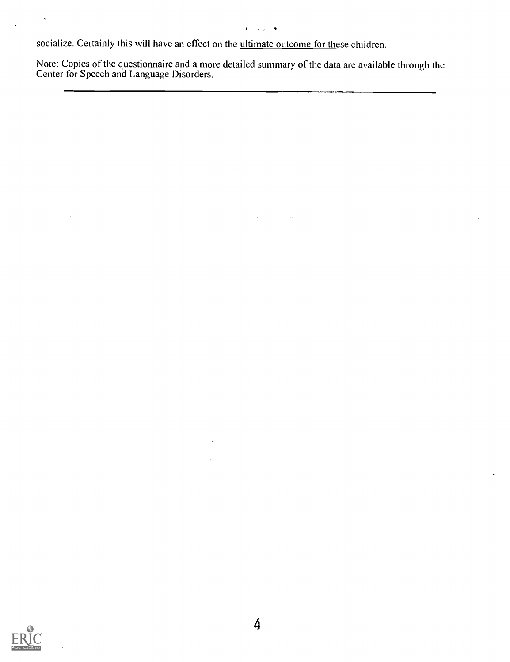socialize. Certainly this will have an effect on the ultimate outcome for these children.

Note: Copies of the questionnaire and a more detailed summary of the data are available through the Center for Speech and Language Disorders.

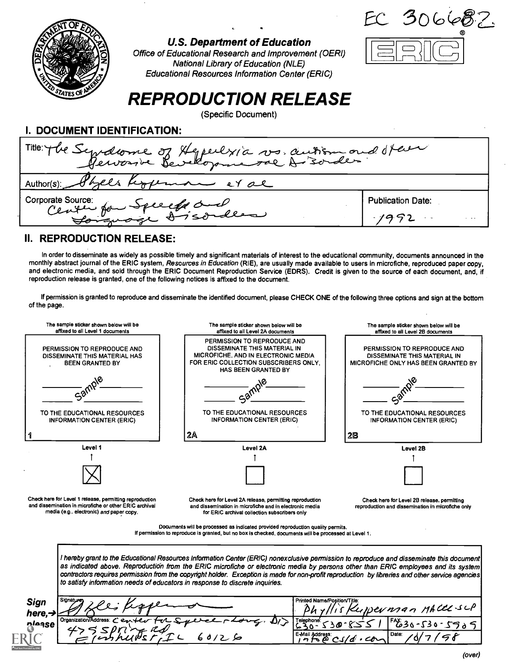

U.S. Department of Education

 $306682$ ـــــا , j

#### Office of Educational Research and Improvement (0ERI) National Library of Education (NLE) Educational Resources Information Center (ERIC)

# REPRODUCTION RELEASE

(Specific Document)

|  |  | I. DOCUMENT IDENTIFICATION: |
|--|--|-----------------------------|
|--|--|-----------------------------|

| Title: The Syndiane of Hepelyia vs. autom and ofer |                   |  |  |  |
|----------------------------------------------------|-------------------|--|--|--|
| Author(s): Physels Ropeman et al                   |                   |  |  |  |
| Corporate Source:<br>Clarke four Speeche and       | Publication Date: |  |  |  |
|                                                    | $1992 -$          |  |  |  |

### II. REPRODUCTION RELEASE:

In order to disseminate as widely as possible timely and significant materials of interest to the educational community, documents announced in the monthly abstract journal of the ERIC system, Resources in Education (RIE), are usually made available to users in microfiche, reproduced paper copy, and electronic media, and sold through the ERIC Document Reproduction Service (EDRS). Credit is given to the source of each document, and, if reproduction release is granted, one of the following notices is affixed to the document.

If permission is granted to reproduce and disseminate the identified document, please CHECK ONE of the following three options and sign at the bottom of the page.